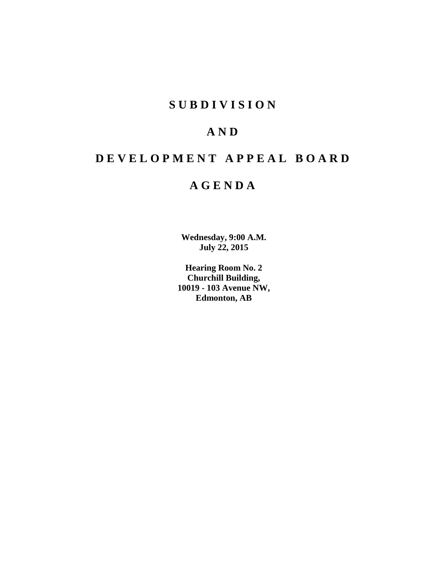# **SUBDIVISION**

# **AND**

# **DEVELOPMENT APPEAL BOARD**

# **AGENDA**

**Wednesday, 9:00 A.M. July 22, 2015**

**Hearing Room No. 2 Churchill Building, 10019 - 103 Avenue NW, Edmonton, AB**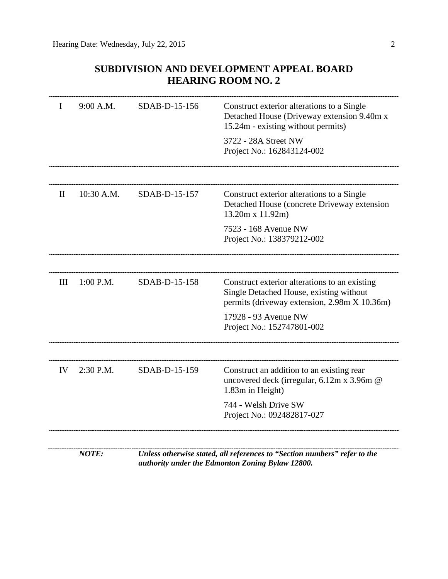## **SUBDIVISION AND DEVELOPMENT APPEAL BOARD HEARING ROOM NO. 2**

|              | 9:00 A.M.  | SDAB-D-15-156 | Construct exterior alterations to a Single<br>Detached House (Driveway extension 9.40m x<br>15.24m - existing without permits)           |
|--------------|------------|---------------|------------------------------------------------------------------------------------------------------------------------------------------|
|              |            |               | 3722 - 28A Street NW<br>Project No.: 162843124-002                                                                                       |
|              |            |               |                                                                                                                                          |
| $\mathbf{I}$ | 10:30 A.M. | SDAB-D-15-157 | Construct exterior alterations to a Single<br>Detached House (concrete Driveway extension<br>13.20m x 11.92m)                            |
|              |            |               | 7523 - 168 Avenue NW<br>Project No.: 138379212-002                                                                                       |
|              |            |               |                                                                                                                                          |
| Ш            | 1:00 P.M.  | SDAB-D-15-158 | Construct exterior alterations to an existing<br>Single Detached House, existing without<br>permits (driveway extension, 2.98m X 10.36m) |
|              |            |               | 17928 - 93 Avenue NW<br>Project No.: 152747801-002                                                                                       |
|              |            |               |                                                                                                                                          |
| IV           | 2:30 P.M.  | SDAB-D-15-159 | Construct an addition to an existing rear<br>uncovered deck (irregular, 6.12m x 3.96m @<br>1.83m in Height)                              |
|              |            |               | 744 - Welsh Drive SW<br>Project No.: 092482817-027                                                                                       |
|              |            |               |                                                                                                                                          |

*NOTE: Unless otherwise stated, all references to "Section numbers" refer to the authority under the Edmonton Zoning Bylaw 12800.*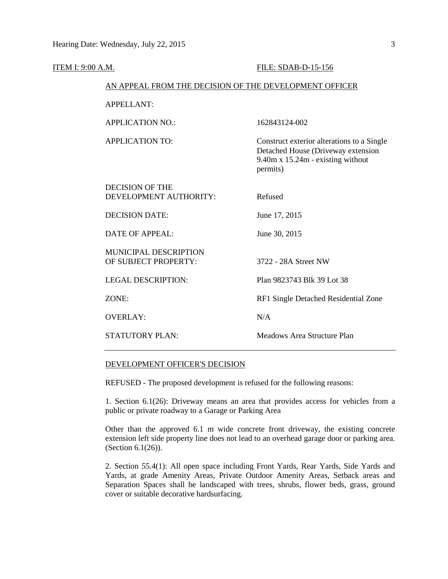| ITEM I: 9:00 A.M. |                                                        | FILE: SDAB-D-15-156                                                                                                               |  |  |
|-------------------|--------------------------------------------------------|-----------------------------------------------------------------------------------------------------------------------------------|--|--|
|                   | AN APPEAL FROM THE DECISION OF THE DEVELOPMENT OFFICER |                                                                                                                                   |  |  |
|                   | <b>APPELLANT:</b>                                      |                                                                                                                                   |  |  |
|                   | <b>APPLICATION NO.:</b>                                | 162843124-002                                                                                                                     |  |  |
|                   | <b>APPLICATION TO:</b>                                 | Construct exterior alterations to a Single<br>Detached House (Driveway extension<br>9.40m x 15.24m - existing without<br>permits) |  |  |
|                   | <b>DECISION OF THE</b><br>DEVELOPMENT AUTHORITY:       | Refused                                                                                                                           |  |  |
|                   | <b>DECISION DATE:</b>                                  | June 17, 2015                                                                                                                     |  |  |
|                   | <b>DATE OF APPEAL:</b>                                 | June 30, 2015                                                                                                                     |  |  |
|                   | <b>MUNICIPAL DESCRIPTION</b><br>OF SUBJECT PROPERTY:   | 3722 - 28A Street NW                                                                                                              |  |  |
|                   | <b>LEGAL DESCRIPTION:</b>                              | Plan 9823743 Blk 39 Lot 38                                                                                                        |  |  |
|                   | ZONE:                                                  | RF1 Single Detached Residential Zone                                                                                              |  |  |
|                   | <b>OVERLAY:</b>                                        | N/A                                                                                                                               |  |  |
|                   | <b>STATUTORY PLAN:</b>                                 | Meadows Area Structure Plan                                                                                                       |  |  |

### DEVELOPMENT OFFICER'S DECISION

REFUSED - The proposed development is refused for the following reasons:

1. Section 6.1(26): Driveway means an area that provides access for vehicles from a public or private roadway to a Garage or Parking Area

Other than the approved 6.1 m wide concrete front driveway, the existing concrete extension left side property line does not lead to an overhead garage door or parking area. (Section 6.1(26)).

2. Section 55.4(1): All open space including Front Yards, Rear Yards, Side Yards and Yards, at grade Amenity Areas, Private Outdoor Amenity Areas, Setback areas and Separation Spaces shall be landscaped with trees, shrubs, flower beds, grass, ground cover or suitable decorative hardsurfacing.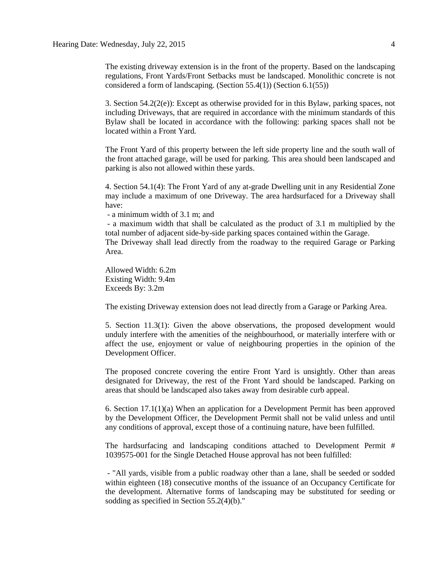The existing driveway extension is in the front of the property. Based on the landscaping regulations, Front Yards/Front Setbacks must be landscaped. Monolithic concrete is not considered a form of landscaping. (Section 55.4(1)) (Section 6.1(55))

3. Section 54.2(2(e)): Except as otherwise provided for in this Bylaw, parking spaces, not including Driveways, that are required in accordance with the minimum standards of this Bylaw shall be located in accordance with the following: parking spaces shall not be located within a Front Yard.

The Front Yard of this property between the left side property line and the south wall of the front attached garage, will be used for parking. This area should been landscaped and parking is also not allowed within these yards.

4. Section 54.1(4): The Front Yard of any at-grade Dwelling unit in any Residential Zone may include a maximum of one Driveway. The area hardsurfaced for a Driveway shall have:

- a minimum width of 3.1 m; and

- a maximum width that shall be calculated as the product of 3.1 m multiplied by the total number of adjacent side-by-side parking spaces contained within the Garage.

The Driveway shall lead directly from the roadway to the required Garage or Parking Area.

Allowed Width: 6.2m Existing Width: 9.4m Exceeds By: 3.2m

The existing Driveway extension does not lead directly from a Garage or Parking Area.

5. Section 11.3(1): Given the above observations, the proposed development would unduly interfere with the amenities of the neighbourhood, or materially interfere with or affect the use, enjoyment or value of neighbouring properties in the opinion of the Development Officer.

The proposed concrete covering the entire Front Yard is unsightly. Other than areas designated for Driveway, the rest of the Front Yard should be landscaped. Parking on areas that should be landscaped also takes away from desirable curb appeal.

6. Section 17.1(1)(a) When an application for a Development Permit has been approved by the Development Officer, the Development Permit shall not be valid unless and until any conditions of approval, except those of a continuing nature, have been fulfilled.

The hardsurfacing and landscaping conditions attached to Development Permit # 1039575-001 for the Single Detached House approval has not been fulfilled:

- "All yards, visible from a public roadway other than a lane, shall be seeded or sodded within eighteen (18) consecutive months of the issuance of an Occupancy Certificate for the development. Alternative forms of landscaping may be substituted for seeding or sodding as specified in Section 55.2(4)(b)."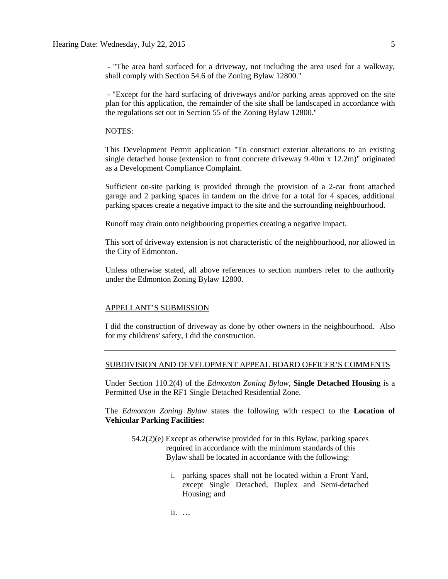- "The area hard surfaced for a driveway, not including the area used for a walkway, shall comply with Section 54.6 of the Zoning Bylaw 12800."

- "Except for the hard surfacing of driveways and/or parking areas approved on the site plan for this application, the remainder of the site shall be landscaped in accordance with the regulations set out in Section 55 of the Zoning Bylaw 12800."

### NOTES:

This Development Permit application "To construct exterior alterations to an existing single detached house (extension to front concrete driveway 9.40m x 12.2m)" originated as a Development Compliance Complaint.

Sufficient on-site parking is provided through the provision of a 2-car front attached garage and 2 parking spaces in tandem on the drive for a total for 4 spaces, additional parking spaces create a negative impact to the site and the surrounding neighbourhood.

Runoff may drain onto neighbouring properties creating a negative impact.

This sort of driveway extension is not characteristic of the neighbourhood, nor allowed in the City of Edmonton.

Unless otherwise stated, all above references to section numbers refer to the authority under the Edmonton Zoning Bylaw 12800.

### APPELLANT'S SUBMISSION

I did the construction of driveway as done by other owners in the neighbourhood. Also for my childrens' safety, I did the construction.

### SUBDIVISION AND DEVELOPMENT APPEAL BOARD OFFICER'S COMMENTS

Under Section 110.2(4) of the *Edmonton Zoning Bylaw,* **Single Detached Housing** is a Permitted Use in the RF1 Single Detached Residential Zone.

The *Edmonton Zoning Bylaw* states the following with respect to the **Location of Vehicular Parking Facilities:**

- 54.2(2)(e) Except as otherwise provided for in this Bylaw, parking spaces required in accordance with the minimum standards of this Bylaw shall be located in accordance with the following:
	- i. parking spaces shall not be located within a Front Yard, except Single Detached, Duplex and Semi-detached Housing; and

ii. …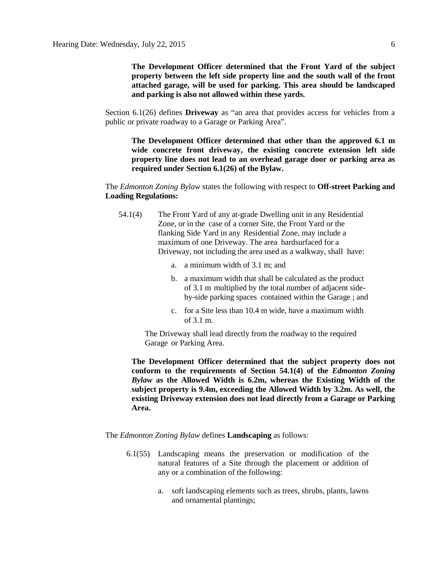**The Development Officer determined that the Front Yard of the subject property between the left side property line and the south wall of the front attached garage, will be used for parking. This area should be landscaped and parking is also not allowed within these yards.**

Section 6.1(26) defines **Driveway** as "an area that provides access for vehicles from a public or private roadway to a Garage or Parking Area".

**The Development Officer determined that other than the approved 6.1 m wide concrete front driveway, the existing concrete extension left side property line does not lead to an overhead garage door or parking area as required under Section 6.1(26) of the Bylaw.**

The *Edmonton Zoning Bylaw* states the following with respect to **Off-street Parking and Loading Regulations:**

- 54.1(4) The Front Yard of any at-grade Dwelling unit in any Residential Zone, or in the case of a corner Site, the Front Yard or the flanking Side Yard in any Residential Zone, may include a maximum of one Driveway. The area hardsurfaced for a Driveway, not including the area used as a walkway, shall have:
	- a. a minimum width of 3.1 m; and
	- b. a maximum width that shall be calculated as the product of 3.1 m multiplied by the total number of adjacent sideby-side parking spaces contained within the Garage ; and
	- c. for a Site less than 10.4 m wide, have a maximum width of 3.1 m.

The Driveway shall lead directly from the roadway to the required Garage or Parking Area.

**The Development Officer determined that the subject property does not conform to the requirements of Section 54.1(4) of the** *Edmonton Zoning Bylaw* **as the Allowed Width is 6.2m, whereas the Existing Width of the subject property is 9.4m, exceeding the Allowed Width by 3.2m. As well, the existing Driveway extension does not lead directly from a Garage or Parking Area.**

The *Edmonton Zoning Bylaw* defines **Landscaping** as follows:

- 6.1(55) Landscaping means the preservation or modification of the natural features of a Site through the placement or addition of any or a combination of the following:
	- a. soft landscaping elements such as trees, shrubs, plants, lawns and ornamental plantings;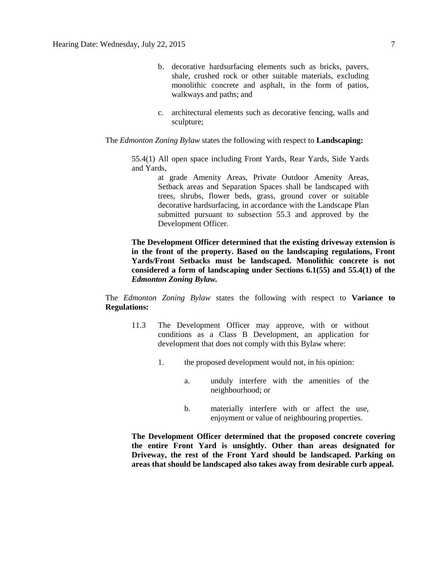- b. decorative hardsurfacing elements such as bricks, pavers, shale, crushed rock or other suitable materials, excluding monolithic concrete and asphalt, in the form of patios, walkways and paths; and
- c. architectural elements such as decorative fencing, walls and sculpture;

The *Edmonton Zoning Bylaw* states the following with respect to **Landscaping:** 

55.4(1) All open space including Front Yards, Rear Yards, Side Yards and Yards,

> at grade Amenity Areas, Private Outdoor Amenity Areas, Setback areas and Separation Spaces shall be landscaped with trees, shrubs, flower beds, grass, ground cover or suitable decorative hardsurfacing, in accordance with the Landscape Plan submitted pursuant to subsection 55.3 and approved by the Development Officer.

**The Development Officer determined that the existing driveway extension is in the front of the property. Based on the landscaping regulations, Front Yards/Front Setbacks must be landscaped. Monolithic concrete is not considered a form of landscaping under Sections 6.1(55) and 55.4(1) of the**  *Edmonton Zoning Bylaw.*

The *Edmonton Zoning Bylaw* states the following with respect to **Variance to Regulations:** 

- 11.3 The Development Officer may approve, with or without conditions as a Class B Development, an application for development that does not comply with this Bylaw where:
	- 1. the proposed development would not, in his opinion:
		- a. unduly interfere with the amenities of the neighbourhood; or
		- b. materially interfere with or affect the use, enjoyment or value of neighbouring properties.

**The Development Officer determined that the proposed concrete covering the entire Front Yard is unsightly. Other than areas designated for Driveway, the rest of the Front Yard should be landscaped. Parking on areas that should be landscaped also takes away from desirable curb appeal.**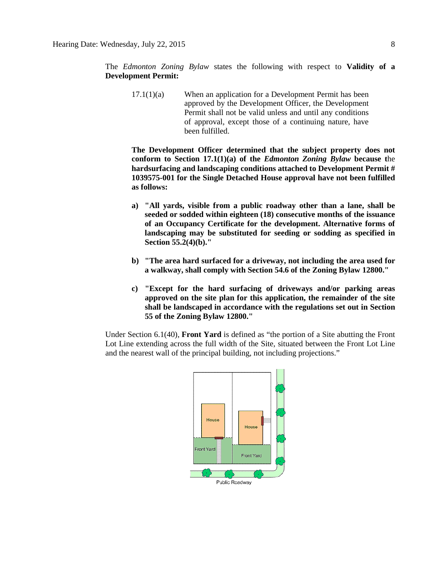The *Edmonton Zoning Bylaw* states the following with respect to **Validity of a Development Permit:**

17.1(1)(a) When an application for a Development Permit has been approved by the Development Officer, the Development Permit shall not be valid unless and until any conditions of approval, except those of a continuing nature, have been fulfilled.

**The Development Officer determined that the subject property does not conform to Section 17.1(1)(a) of the** *Edmonton Zoning Bylaw* **because t**he **hardsurfacing and landscaping conditions attached to Development Permit # 1039575-001 for the Single Detached House approval have not been fulfilled as follows:**

- **a) "All yards, visible from a public roadway other than a lane, shall be seeded or sodded within eighteen (18) consecutive months of the issuance of an Occupancy Certificate for the development. Alternative forms of landscaping may be substituted for seeding or sodding as specified in Section 55.2(4)(b)."**
- **b) "The area hard surfaced for a driveway, not including the area used for a walkway, shall comply with Section 54.6 of the Zoning Bylaw 12800."**
- **c) "Except for the hard surfacing of driveways and/or parking areas approved on the site plan for this application, the remainder of the site shall be landscaped in accordance with the regulations set out in Section 55 of the Zoning Bylaw 12800."**

Under Section 6.1(40), **Front Yard** is defined as "the portion of a Site abutting the Front Lot Line extending across the full width of the Site, situated between the Front Lot Line and the nearest wall of the principal building, not including projections."

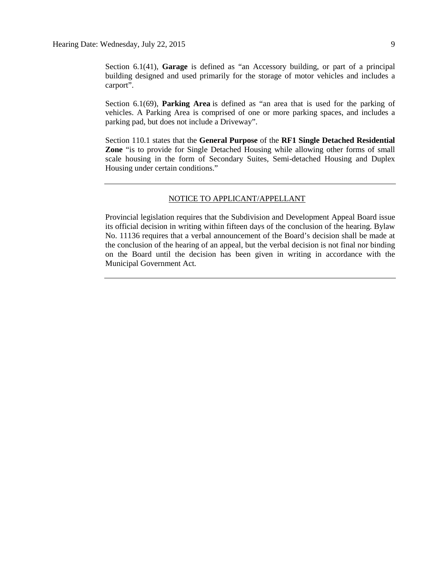Section 6.1(41), **Garage** is defined as "an Accessory building, or part of a principal building designed and used primarily for the storage of motor vehicles and includes a carport".

Section 6.1(69), **Parking Area** is defined as "an area that is used for the parking of vehicles. A Parking Area is comprised of one or more parking spaces, and includes a parking pad, but does not include a Driveway".

Section 110.1 states that the **General Purpose** of the **RF1 Single Detached Residential Zone** "is to provide for Single Detached Housing while allowing other forms of small scale housing in the form of Secondary Suites, Semi-detached Housing and Duplex Housing under certain conditions."

### NOTICE TO APPLICANT/APPELLANT

Provincial legislation requires that the Subdivision and Development Appeal Board issue its official decision in writing within fifteen days of the conclusion of the hearing. Bylaw No. 11136 requires that a verbal announcement of the Board's decision shall be made at the conclusion of the hearing of an appeal, but the verbal decision is not final nor binding on the Board until the decision has been given in writing in accordance with the Municipal Government Act.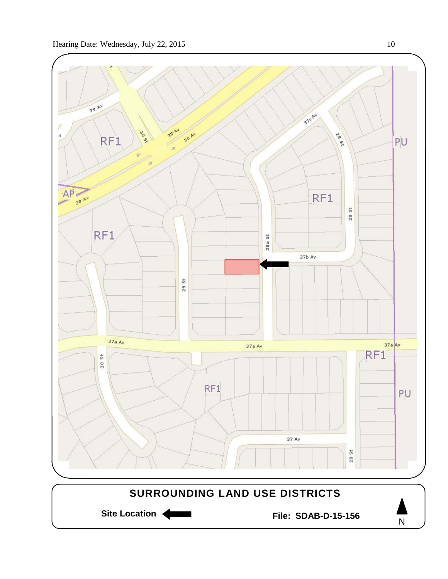

N

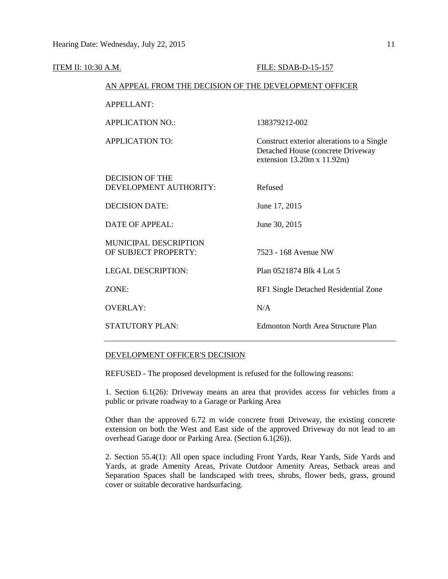| <b>ITEM II: 10:30 A.M.</b>                             | FILE: SDAB-D-15-157                                                                                                   |  |
|--------------------------------------------------------|-----------------------------------------------------------------------------------------------------------------------|--|
| AN APPEAL FROM THE DECISION OF THE DEVELOPMENT OFFICER |                                                                                                                       |  |
| APPELLANT:                                             |                                                                                                                       |  |
| <b>APPLICATION NO.:</b>                                | 138379212-002                                                                                                         |  |
| <b>APPLICATION TO:</b>                                 | Construct exterior alterations to a Single<br>Detached House (concrete Driveway<br>extension $13.20m \times 11.92m$ ) |  |
| <b>DECISION OF THE</b><br>DEVELOPMENT AUTHORITY:       | Refused                                                                                                               |  |
| <b>DECISION DATE:</b>                                  | June 17, 2015                                                                                                         |  |
| <b>DATE OF APPEAL:</b>                                 | June 30, 2015                                                                                                         |  |
| MUNICIPAL DESCRIPTION<br>OF SUBJECT PROPERTY:          | 7523 - 168 Avenue NW                                                                                                  |  |
| <b>LEGAL DESCRIPTION:</b>                              | Plan 0521874 Blk 4 Lot 5                                                                                              |  |
| ZONE:                                                  | RF1 Single Detached Residential Zone                                                                                  |  |
| <b>OVERLAY:</b>                                        | N/A                                                                                                                   |  |
| <b>STATUTORY PLAN:</b>                                 | <b>Edmonton North Area Structure Plan</b>                                                                             |  |

### DEVELOPMENT OFFICER'S DECISION

REFUSED - The proposed development is refused for the following reasons:

1. Section 6.1(26): Driveway means an area that provides access for vehicles from a public or private roadway to a Garage or Parking Area

Other than the approved 6.72 m wide concrete front Driveway, the existing concrete extension on both the West and East side of the approved Driveway do not lead to an overhead Garage door or Parking Area. (Section 6.1(26)).

2. Section 55.4(1): All open space including Front Yards, Rear Yards, Side Yards and Yards, at grade Amenity Areas, Private Outdoor Amenity Areas, Setback areas and Separation Spaces shall be landscaped with trees, shrubs, flower beds, grass, ground cover or suitable decorative hardsurfacing.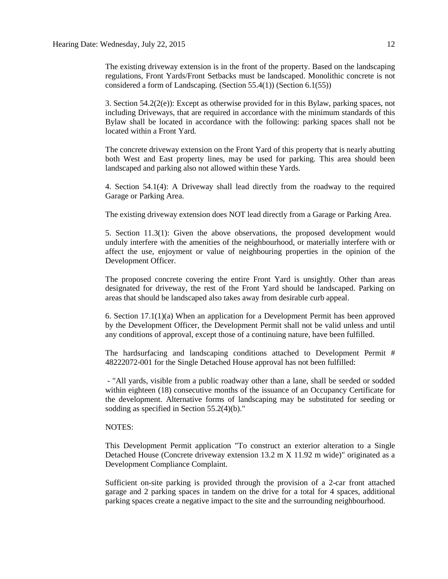The existing driveway extension is in the front of the property. Based on the landscaping regulations, Front Yards/Front Setbacks must be landscaped. Monolithic concrete is not considered a form of Landscaping. (Section 55.4(1)) (Section 6.1(55))

3. Section 54.2(2(e)): Except as otherwise provided for in this Bylaw, parking spaces, not including Driveways, that are required in accordance with the minimum standards of this Bylaw shall be located in accordance with the following: parking spaces shall not be located within a Front Yard.

The concrete driveway extension on the Front Yard of this property that is nearly abutting both West and East property lines, may be used for parking. This area should been landscaped and parking also not allowed within these Yards.

4. Section 54.1(4): A Driveway shall lead directly from the roadway to the required Garage or Parking Area.

The existing driveway extension does NOT lead directly from a Garage or Parking Area.

5. Section 11.3(1): Given the above observations, the proposed development would unduly interfere with the amenities of the neighbourhood, or materially interfere with or affect the use, enjoyment or value of neighbouring properties in the opinion of the Development Officer.

The proposed concrete covering the entire Front Yard is unsightly. Other than areas designated for driveway, the rest of the Front Yard should be landscaped. Parking on areas that should be landscaped also takes away from desirable curb appeal.

6. Section 17.1(1)(a) When an application for a Development Permit has been approved by the Development Officer, the Development Permit shall not be valid unless and until any conditions of approval, except those of a continuing nature, have been fulfilled.

The hardsurfacing and landscaping conditions attached to Development Permit # 48222072-001 for the Single Detached House approval has not been fulfilled:

- "All yards, visible from a public roadway other than a lane, shall be seeded or sodded within eighteen (18) consecutive months of the issuance of an Occupancy Certificate for the development. Alternative forms of landscaping may be substituted for seeding or sodding as specified in Section 55.2(4)(b)."

### NOTES:

This Development Permit application "To construct an exterior alteration to a Single Detached House (Concrete driveway extension 13.2 m X 11.92 m wide)" originated as a Development Compliance Complaint.

Sufficient on-site parking is provided through the provision of a 2-car front attached garage and 2 parking spaces in tandem on the drive for a total for 4 spaces, additional parking spaces create a negative impact to the site and the surrounding neighbourhood.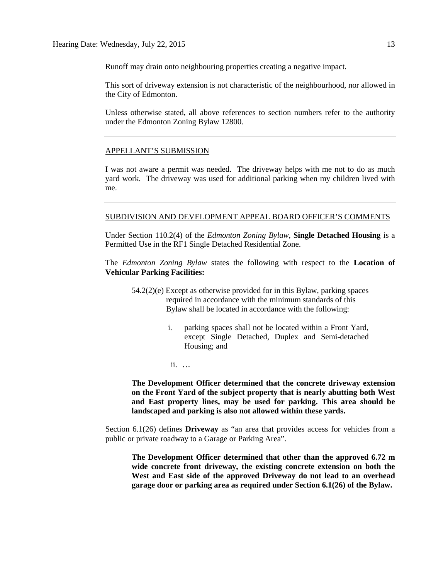Runoff may drain onto neighbouring properties creating a negative impact.

This sort of driveway extension is not characteristic of the neighbourhood, nor allowed in the City of Edmonton.

Unless otherwise stated, all above references to section numbers refer to the authority under the Edmonton Zoning Bylaw 12800.

### APPELLANT'S SUBMISSION

I was not aware a permit was needed. The driveway helps with me not to do as much yard work. The driveway was used for additional parking when my children lived with me.

### SUBDIVISION AND DEVELOPMENT APPEAL BOARD OFFICER'S COMMENTS

Under Section 110.2(4) of the *Edmonton Zoning Bylaw,* **Single Detached Housing** is a Permitted Use in the RF1 Single Detached Residential Zone.

The *Edmonton Zoning Bylaw* states the following with respect to the **Location of Vehicular Parking Facilities:**

- 54.2(2)(e) Except as otherwise provided for in this Bylaw, parking spaces required in accordance with the minimum standards of this Bylaw shall be located in accordance with the following:
	- i. parking spaces shall not be located within a Front Yard, except Single Detached, Duplex and Semi-detached Housing; and
	- ii. …

**The Development Officer determined that the concrete driveway extension on the Front Yard of the subject property that is nearly abutting both West and East property lines, may be used for parking. This area should be landscaped and parking is also not allowed within these yards.**

Section 6.1(26) defines **Driveway** as "an area that provides access for vehicles from a public or private roadway to a Garage or Parking Area".

**The Development Officer determined that other than the approved 6.72 m wide concrete front driveway, the existing concrete extension on both the West and East side of the approved Driveway do not lead to an overhead garage door or parking area as required under Section 6.1(26) of the Bylaw.**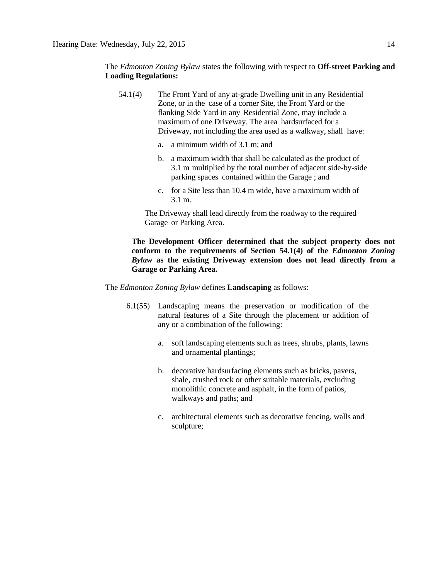The *Edmonton Zoning Bylaw* states the following with respect to **Off-street Parking and Loading Regulations:**

- 54.1(4) The Front Yard of any at-grade Dwelling unit in any Residential Zone, or in the case of a corner Site, the Front Yard or the flanking Side Yard in any Residential Zone, may include a maximum of one Driveway. The area hardsurfaced for a Driveway, not including the area used as a walkway, shall have:
	- a. a minimum width of 3.1 m; and
	- b. a maximum width that shall be calculated as the product of 3.1 m multiplied by the total number of adjacent side-by-side parking spaces contained within the Garage ; and
	- c. for a Site less than 10.4 m wide, have a maximum width of 3.1 m.

The Driveway shall lead directly from the roadway to the required Garage or Parking Area.

**The Development Officer determined that the subject property does not conform to the requirements of Section 54.1(4) of the** *Edmonton Zoning Bylaw* **as the existing Driveway extension does not lead directly from a Garage or Parking Area.**

The *Edmonton Zoning Bylaw* defines **Landscaping** as follows:

- 6.1(55) Landscaping means the preservation or modification of the natural features of a Site through the placement or addition of any or a combination of the following:
	- a. soft landscaping elements such as trees, shrubs, plants, lawns and ornamental plantings;
	- b. decorative hardsurfacing elements such as bricks, pavers, shale, crushed rock or other suitable materials, excluding monolithic concrete and asphalt, in the form of patios, walkways and paths; and
	- c. architectural elements such as decorative fencing, walls and sculpture;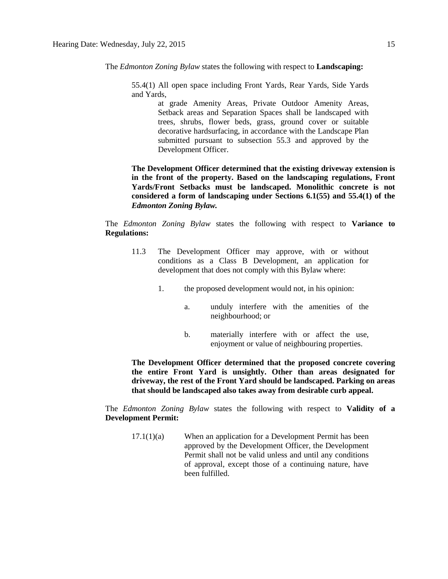The *Edmonton Zoning Bylaw* states the following with respect to **Landscaping:** 

55.4(1) All open space including Front Yards, Rear Yards, Side Yards and Yards,

> at grade Amenity Areas, Private Outdoor Amenity Areas, Setback areas and Separation Spaces shall be landscaped with trees, shrubs, flower beds, grass, ground cover or suitable decorative hardsurfacing, in accordance with the Landscape Plan submitted pursuant to subsection 55.3 and approved by the Development Officer.

**The Development Officer determined that the existing driveway extension is in the front of the property. Based on the landscaping regulations, Front Yards/Front Setbacks must be landscaped. Monolithic concrete is not considered a form of landscaping under Sections 6.1(55) and 55.4(1) of the**  *Edmonton Zoning Bylaw.*

The *Edmonton Zoning Bylaw* states the following with respect to **Variance to Regulations:** 

- 11.3 The Development Officer may approve, with or without conditions as a Class B Development, an application for development that does not comply with this Bylaw where:
	- 1. the proposed development would not, in his opinion:
		- a. unduly interfere with the amenities of the neighbourhood; or
		- b. materially interfere with or affect the use, enjoyment or value of neighbouring properties.

**The Development Officer determined that the proposed concrete covering the entire Front Yard is unsightly. Other than areas designated for driveway, the rest of the Front Yard should be landscaped. Parking on areas that should be landscaped also takes away from desirable curb appeal.**

The *Edmonton Zoning Bylaw* states the following with respect to **Validity of a Development Permit:**

17.1(1)(a) When an application for a Development Permit has been approved by the Development Officer, the Development Permit shall not be valid unless and until any conditions of approval, except those of a continuing nature, have been fulfilled.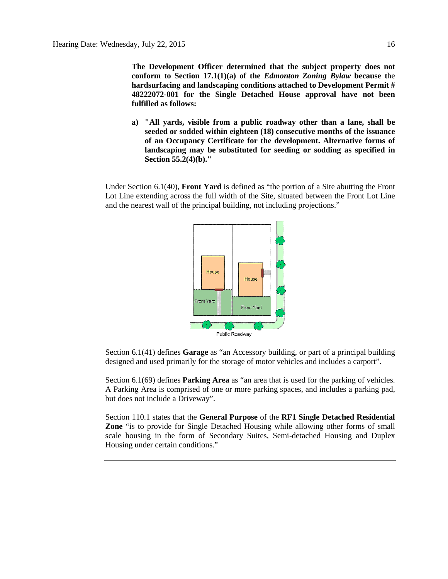**The Development Officer determined that the subject property does not conform to Section 17.1(1)(a) of the** *Edmonton Zoning Bylaw* **because t**he **hardsurfacing and landscaping conditions attached to Development Permit # 48222072-001 for the Single Detached House approval have not been fulfilled as follows:**

**a) "All yards, visible from a public roadway other than a lane, shall be seeded or sodded within eighteen (18) consecutive months of the issuance of an Occupancy Certificate for the development. Alternative forms of landscaping may be substituted for seeding or sodding as specified in Section 55.2(4)(b)."**

Under Section 6.1(40), **Front Yard** is defined as "the portion of a Site abutting the Front Lot Line extending across the full width of the Site, situated between the Front Lot Line and the nearest wall of the principal building, not including projections."



Section 6.1(41) defines **Garage** as "an Accessory building, or part of a principal building designed and used primarily for the storage of motor vehicles and includes a carport".

Section 6.1(69) defines **Parking Area** as "an area that is used for the parking of vehicles. A Parking Area is comprised of one or more parking spaces, and includes a parking pad, but does not include a Driveway".

Section 110.1 states that the **General Purpose** of the **RF1 Single Detached Residential Zone** "is to provide for Single Detached Housing while allowing other forms of small scale housing in the form of Secondary Suites, Semi-detached Housing and Duplex Housing under certain conditions."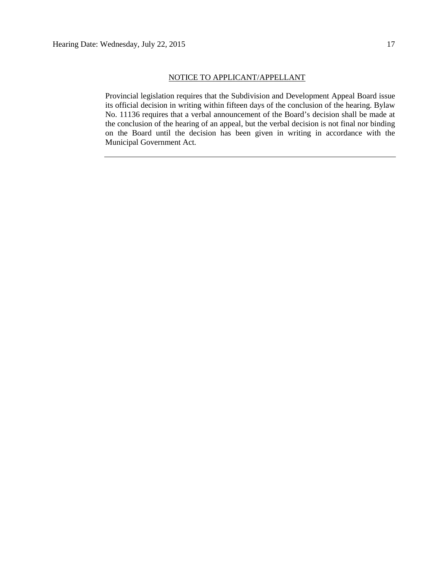Provincial legislation requires that the Subdivision and Development Appeal Board issue its official decision in writing within fifteen days of the conclusion of the hearing. Bylaw No. 11136 requires that a verbal announcement of the Board's decision shall be made at the conclusion of the hearing of an appeal, but the verbal decision is not final nor binding on the Board until the decision has been given in writing in accordance with the Municipal Government Act.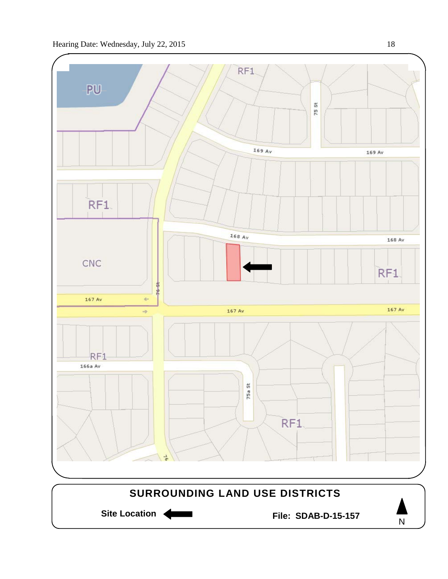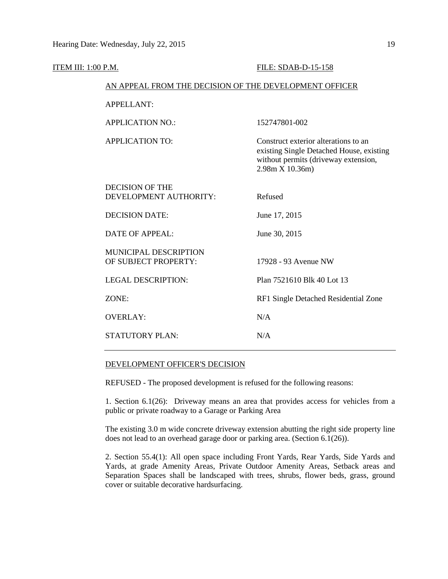| ITEM III: 1:00 P.M. |                                                        | FILE: SDAB-D-15-158                                                                                                                         |  |  |
|---------------------|--------------------------------------------------------|---------------------------------------------------------------------------------------------------------------------------------------------|--|--|
|                     | AN APPEAL FROM THE DECISION OF THE DEVELOPMENT OFFICER |                                                                                                                                             |  |  |
|                     | <b>APPELLANT:</b>                                      |                                                                                                                                             |  |  |
|                     | <b>APPLICATION NO.:</b>                                | 152747801-002                                                                                                                               |  |  |
|                     | <b>APPLICATION TO:</b>                                 | Construct exterior alterations to an<br>existing Single Detached House, existing<br>without permits (driveway extension,<br>2.98m X 10.36m) |  |  |
|                     | <b>DECISION OF THE</b><br>DEVELOPMENT AUTHORITY:       | Refused                                                                                                                                     |  |  |
|                     | <b>DECISION DATE:</b>                                  | June 17, 2015                                                                                                                               |  |  |
|                     | <b>DATE OF APPEAL:</b>                                 | June 30, 2015                                                                                                                               |  |  |
|                     | MUNICIPAL DESCRIPTION<br>OF SUBJECT PROPERTY:          | 17928 - 93 Avenue NW                                                                                                                        |  |  |
|                     | <b>LEGAL DESCRIPTION:</b>                              | Plan 7521610 Blk 40 Lot 13                                                                                                                  |  |  |
|                     | ZONE:                                                  | RF1 Single Detached Residential Zone                                                                                                        |  |  |
|                     | <b>OVERLAY:</b>                                        | N/A                                                                                                                                         |  |  |
|                     | <b>STATUTORY PLAN:</b>                                 | N/A                                                                                                                                         |  |  |

### DEVELOPMENT OFFICER'S DECISION

REFUSED - The proposed development is refused for the following reasons:

1. Section 6.1(26): Driveway means an area that provides access for vehicles from a public or private roadway to a Garage or Parking Area

The existing 3.0 m wide concrete driveway extension abutting the right side property line does not lead to an overhead garage door or parking area. (Section 6.1(26)).

2. Section 55.4(1): All open space including Front Yards, Rear Yards, Side Yards and Yards, at grade Amenity Areas, Private Outdoor Amenity Areas, Setback areas and Separation Spaces shall be landscaped with trees, shrubs, flower beds, grass, ground cover or suitable decorative hardsurfacing.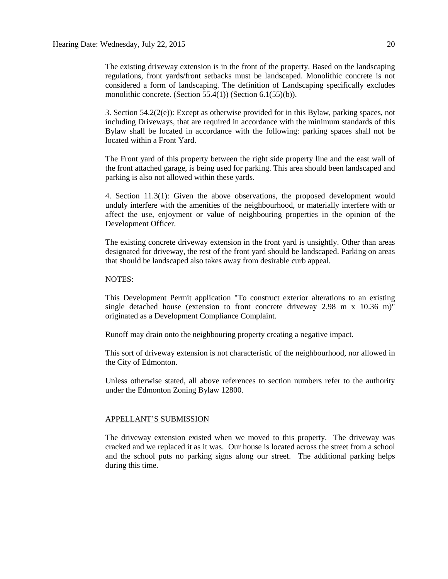The existing driveway extension is in the front of the property. Based on the landscaping regulations, front yards/front setbacks must be landscaped. Monolithic concrete is not considered a form of landscaping. The definition of Landscaping specifically excludes monolithic concrete. (Section 55.4(1)) (Section 6.1(55)(b)).

3. Section  $54.2(2(e))$ : Except as otherwise provided for in this Bylaw, parking spaces, not including Driveways, that are required in accordance with the minimum standards of this Bylaw shall be located in accordance with the following: parking spaces shall not be located within a Front Yard.

The Front yard of this property between the right side property line and the east wall of the front attached garage, is being used for parking. This area should been landscaped and parking is also not allowed within these yards.

4. Section 11.3(1): Given the above observations, the proposed development would unduly interfere with the amenities of the neighbourhood, or materially interfere with or affect the use, enjoyment or value of neighbouring properties in the opinion of the Development Officer.

The existing concrete driveway extension in the front yard is unsightly. Other than areas designated for driveway, the rest of the front yard should be landscaped. Parking on areas that should be landscaped also takes away from desirable curb appeal.

### NOTES:

This Development Permit application "To construct exterior alterations to an existing single detached house (extension to front concrete driveway 2.98 m x 10.36 m)" originated as a Development Compliance Complaint.

Runoff may drain onto the neighbouring property creating a negative impact.

This sort of driveway extension is not characteristic of the neighbourhood, nor allowed in the City of Edmonton.

Unless otherwise stated, all above references to section numbers refer to the authority under the Edmonton Zoning Bylaw 12800.

### APPELLANT'S SUBMISSION

The driveway extension existed when we moved to this property. The driveway was cracked and we replaced it as it was. Our house is located across the street from a school and the school puts no parking signs along our street. The additional parking helps during this time.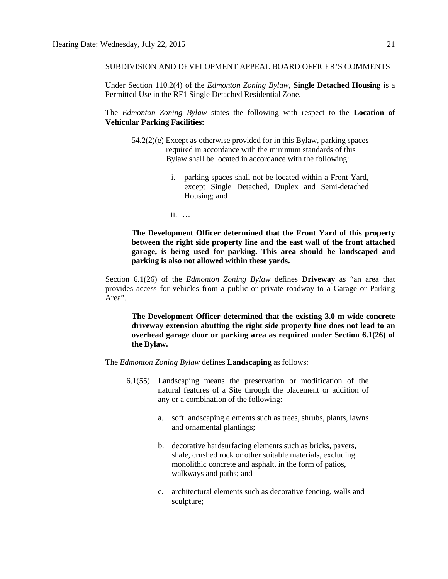### SUBDIVISION AND DEVELOPMENT APPEAL BOARD OFFICER'S COMMENTS

Under Section 110.2(4) of the *Edmonton Zoning Bylaw,* **Single Detached Housing** is a Permitted Use in the RF1 Single Detached Residential Zone.

The *Edmonton Zoning Bylaw* states the following with respect to the **Location of Vehicular Parking Facilities:**

- 54.2(2)(e) Except as otherwise provided for in this Bylaw, parking spaces required in accordance with the minimum standards of this Bylaw shall be located in accordance with the following:
	- i. parking spaces shall not be located within a Front Yard, except Single Detached, Duplex and Semi-detached Housing; and
	- ii. …

**The Development Officer determined that the Front Yard of this property between the right side property line and the east wall of the front attached garage, is being used for parking. This area should be landscaped and parking is also not allowed within these yards.** 

Section 6.1(26) of the *Edmonton Zoning Bylaw* defines **Driveway** as "an area that provides access for vehicles from a public or private roadway to a Garage or Parking Area".

**The Development Officer determined that the existing 3.0 m wide concrete driveway extension abutting the right side property line does not lead to an overhead garage door or parking area as required under Section 6.1(26) of the Bylaw.**

The *Edmonton Zoning Bylaw* defines **Landscaping** as follows:

- 6.1(55) Landscaping means the preservation or modification of the natural features of a Site through the placement or addition of any or a combination of the following:
	- a. soft landscaping elements such as trees, shrubs, plants, lawns and ornamental plantings;
	- b. decorative hardsurfacing elements such as bricks, pavers, shale, crushed rock or other suitable materials, excluding monolithic concrete and asphalt, in the form of patios, walkways and paths; and
	- c. architectural elements such as decorative fencing, walls and sculpture;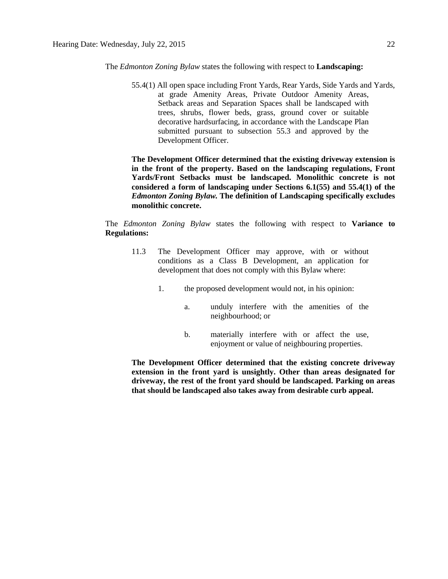The *Edmonton Zoning Bylaw* states the following with respect to **Landscaping:** 

55.4(1) All open space including Front Yards, Rear Yards, Side Yards and Yards, at grade Amenity Areas, Private Outdoor Amenity Areas, Setback areas and Separation Spaces shall be landscaped with trees, shrubs, flower beds, grass, ground cover or suitable decorative hardsurfacing, in accordance with the Landscape Plan submitted pursuant to subsection 55.3 and approved by the Development Officer.

**The Development Officer determined that the existing driveway extension is in the front of the property. Based on the landscaping regulations, Front Yards/Front Setbacks must be landscaped. Monolithic concrete is not considered a form of landscaping under Sections 6.1(55) and 55.4(1) of the**  *Edmonton Zoning Bylaw.* **The definition of Landscaping specifically excludes monolithic concrete.**

The *Edmonton Zoning Bylaw* states the following with respect to **Variance to Regulations:** 

- 11.3 The Development Officer may approve, with or without conditions as a Class B Development, an application for development that does not comply with this Bylaw where:
	- 1. the proposed development would not, in his opinion:
		- a. unduly interfere with the amenities of the neighbourhood; or
		- b. materially interfere with or affect the use, enjoyment or value of neighbouring properties.

**The Development Officer determined that the existing concrete driveway extension in the front yard is unsightly. Other than areas designated for driveway, the rest of the front yard should be landscaped. Parking on areas that should be landscaped also takes away from desirable curb appeal.**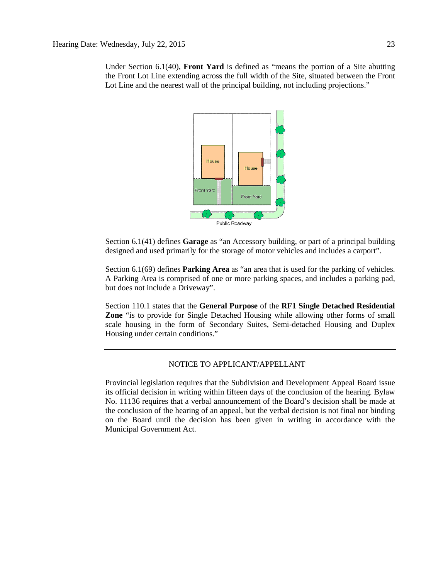Under Section 6.1(40), **Front Yard** is defined as "means the portion of a Site abutting the Front Lot Line extending across the full width of the Site, situated between the Front Lot Line and the nearest wall of the principal building, not including projections."



Section 6.1(41) defines **Garage** as "an Accessory building, or part of a principal building designed and used primarily for the storage of motor vehicles and includes a carport".

Section 6.1(69) defines **Parking Area** as "an area that is used for the parking of vehicles. A Parking Area is comprised of one or more parking spaces, and includes a parking pad, but does not include a Driveway".

Section 110.1 states that the **General Purpose** of the **RF1 Single Detached Residential Zone** "is to provide for Single Detached Housing while allowing other forms of small scale housing in the form of Secondary Suites, Semi-detached Housing and Duplex Housing under certain conditions."

### NOTICE TO APPLICANT/APPELLANT

Provincial legislation requires that the Subdivision and Development Appeal Board issue its official decision in writing within fifteen days of the conclusion of the hearing. Bylaw No. 11136 requires that a verbal announcement of the Board's decision shall be made at the conclusion of the hearing of an appeal, but the verbal decision is not final nor binding on the Board until the decision has been given in writing in accordance with the Municipal Government Act.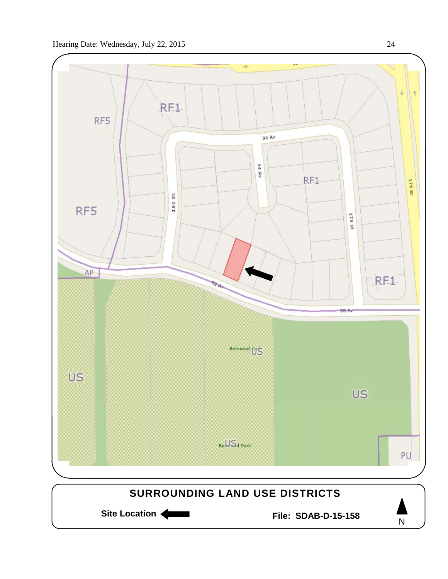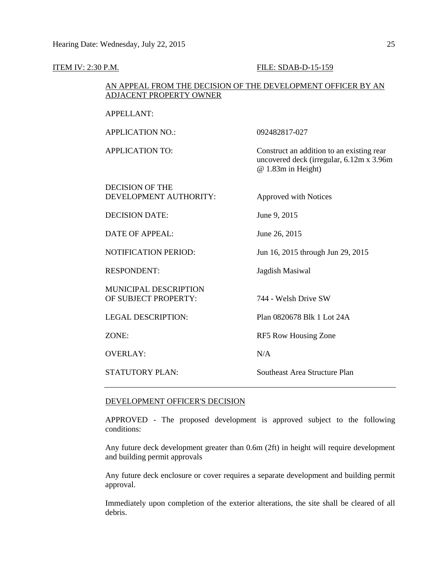| <b>ITEM IV: 2:30 P.M.</b>                        | FILE: SDAB-D-15-159                                                                                         |  |  |  |
|--------------------------------------------------|-------------------------------------------------------------------------------------------------------------|--|--|--|
|                                                  | AN APPEAL FROM THE DECISION OF THE DEVELOPMENT OFFICER BY AN<br><b>ADJACENT PROPERTY OWNER</b>              |  |  |  |
| <b>APPELLANT:</b>                                |                                                                                                             |  |  |  |
| <b>APPLICATION NO.:</b>                          | 092482817-027                                                                                               |  |  |  |
| <b>APPLICATION TO:</b>                           | Construct an addition to an existing rear<br>uncovered deck (irregular, 6.12m x 3.96m<br>@ 1.83m in Height) |  |  |  |
| <b>DECISION OF THE</b><br>DEVELOPMENT AUTHORITY: | Approved with Notices                                                                                       |  |  |  |
| <b>DECISION DATE:</b>                            | June 9, 2015                                                                                                |  |  |  |
| <b>DATE OF APPEAL:</b>                           | June 26, 2015                                                                                               |  |  |  |
| NOTIFICATION PERIOD:                             | Jun 16, 2015 through Jun 29, 2015                                                                           |  |  |  |
| <b>RESPONDENT:</b>                               | Jagdish Masiwal                                                                                             |  |  |  |
| MUNICIPAL DESCRIPTION<br>OF SUBJECT PROPERTY:    | 744 - Welsh Drive SW                                                                                        |  |  |  |
| <b>LEGAL DESCRIPTION:</b>                        | Plan 0820678 Blk 1 Lot 24A                                                                                  |  |  |  |
| ZONE:                                            | RF5 Row Housing Zone                                                                                        |  |  |  |
| <b>OVERLAY:</b>                                  | N/A                                                                                                         |  |  |  |
| <b>STATUTORY PLAN:</b>                           | <b>Southeast Area Structure Plan</b>                                                                        |  |  |  |

### DEVELOPMENT OFFICER'S DECISION

APPROVED - The proposed development is approved subject to the following conditions:

Any future deck development greater than 0.6m (2ft) in height will require development and building permit approvals

Any future deck enclosure or cover requires a separate development and building permit approval.

Immediately upon completion of the exterior alterations, the site shall be cleared of all debris.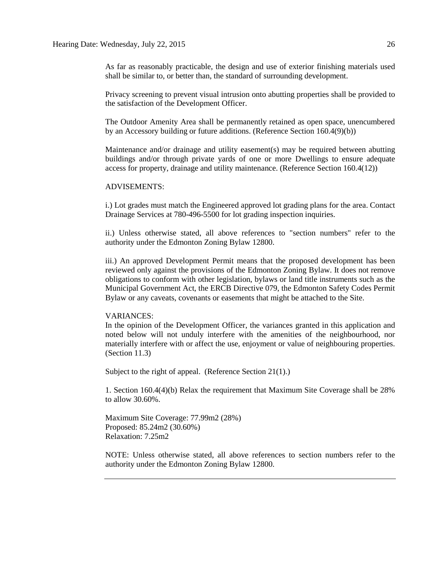As far as reasonably practicable, the design and use of exterior finishing materials used shall be similar to, or better than, the standard of surrounding development.

Privacy screening to prevent visual intrusion onto abutting properties shall be provided to the satisfaction of the Development Officer.

The Outdoor Amenity Area shall be permanently retained as open space, unencumbered by an Accessory building or future additions. (Reference Section 160.4(9)(b))

Maintenance and/or drainage and utility easement(s) may be required between abutting buildings and/or through private yards of one or more Dwellings to ensure adequate access for property, drainage and utility maintenance. (Reference Section 160.4(12))

### ADVISEMENTS:

i.) Lot grades must match the Engineered approved lot grading plans for the area. Contact Drainage Services at 780-496-5500 for lot grading inspection inquiries.

ii.) Unless otherwise stated, all above references to "section numbers" refer to the authority under the Edmonton Zoning Bylaw 12800.

iii.) An approved Development Permit means that the proposed development has been reviewed only against the provisions of the Edmonton Zoning Bylaw. It does not remove obligations to conform with other legislation, bylaws or land title instruments such as the Municipal Government Act, the ERCB Directive 079, the Edmonton Safety Codes Permit Bylaw or any caveats, covenants or easements that might be attached to the Site.

### VARIANCES:

In the opinion of the Development Officer, the variances granted in this application and noted below will not unduly interfere with the amenities of the neighbourhood, nor materially interfere with or affect the use, enjoyment or value of neighbouring properties. (Section 11.3)

Subject to the right of appeal. (Reference Section 21(1).)

1. Section 160.4(4)(b) Relax the requirement that Maximum Site Coverage shall be 28% to allow 30.60%.

Maximum Site Coverage: 77.99m2 (28%) Proposed: 85.24m2 (30.60%) Relaxation: 7.25m2

NOTE: Unless otherwise stated, all above references to section numbers refer to the authority under the Edmonton Zoning Bylaw 12800.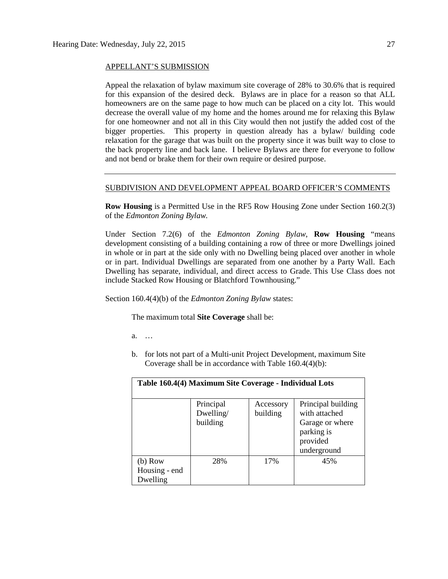### APPELLANT'S SUBMISSION

Appeal the relaxation of bylaw maximum site coverage of 28% to 30.6% that is required for this expansion of the desired deck. Bylaws are in place for a reason so that ALL homeowners are on the same page to how much can be placed on a city lot. This would decrease the overall value of my home and the homes around me for relaxing this Bylaw for one homeowner and not all in this City would then not justify the added cost of the bigger properties. This property in question already has a bylaw/ building code relaxation for the garage that was built on the property since it was built way to close to the back property line and back lane. I believe Bylaws are there for everyone to follow and not bend or brake them for their own require or desired purpose.

### SUBDIVISION AND DEVELOPMENT APPEAL BOARD OFFICER'S COMMENTS

**Row Housing** is a Permitted Use in the RF5 Row Housing Zone under Section 160.2(3) of the *Edmonton Zoning Bylaw.*

Under Section 7.2(6) of the *Edmonton Zoning Bylaw*, **Row Housing** "means development consisting of a building containing a row of three or more Dwellings joined in whole or in part at the side only with no Dwelling being placed over another in whole or in part. Individual Dwellings are separated from one another by a Party Wall. Each Dwelling has separate, individual, and direct access to Grade. This Use Class does not include Stacked Row Housing or Blatchford Townhousing."

Section 160.4(4)(b) of the *Edmonton Zoning Bylaw* states:

The maximum total **Site Coverage** shall be:

a. …

b. for lots not part of a Multi-unit Project Development, maximum Site Coverage shall be in accordance with Table 160.4(4)(b):

| Table 160.4(4) Maximum Site Coverage - Individual Lots |                                    |                       |                                                                                                 |
|--------------------------------------------------------|------------------------------------|-----------------------|-------------------------------------------------------------------------------------------------|
|                                                        | Principal<br>Dwelling/<br>building | Accessory<br>building | Principal building<br>with attached<br>Garage or where<br>parking is<br>provided<br>underground |
| (b) Row<br>Housing - end<br>Dwelling                   | 28%                                | 17%                   | 45%                                                                                             |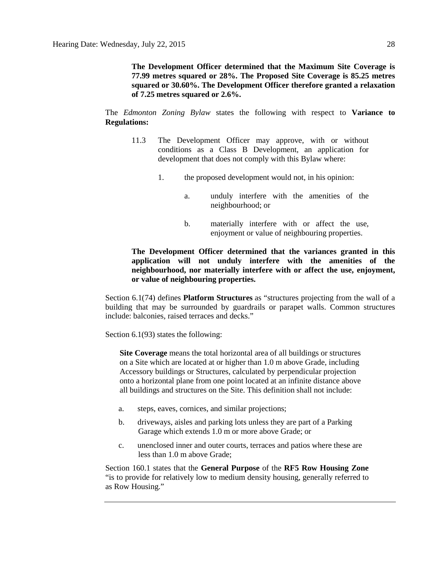**The Development Officer determined that the Maximum Site Coverage is 77.99 metres squared or 28%. The Proposed Site Coverage is 85.25 metres squared or 30.60%. The Development Officer therefore granted a relaxation of 7.25 metres squared or 2.6%.**

The *Edmonton Zoning Bylaw* states the following with respect to **Variance to Regulations:** 

- 11.3 The Development Officer may approve, with or without conditions as a Class B Development, an application for development that does not comply with this Bylaw where:
	- 1. the proposed development would not, in his opinion:
		- a. unduly interfere with the amenities of the neighbourhood; or
		- b. materially interfere with or affect the use, enjoyment or value of neighbouring properties.

**The Development Officer determined that the variances granted in this application will not unduly interfere with the amenities of the neighbourhood, nor materially interfere with or affect the use, enjoyment, or value of neighbouring properties.**

Section 6.1(74) defines **Platform Structures** as "structures projecting from the wall of a building that may be surrounded by guardrails or parapet walls. Common structures include: balconies, raised terraces and decks."

Section 6.1(93) states the following:

**Site Coverage** means the total horizontal area of all buildings or structures on a Site which are located at or higher than 1.0 m above Grade, including Accessory buildings or Structures, calculated by perpendicular projection onto a horizontal plane from one point located at an infinite distance above all buildings and structures on the Site. This definition shall not include:

- a. steps, eaves, cornices, and similar projections;
- b. driveways, aisles and parking lots unless they are part of a Parking Garage which extends 1.0 m or more above Grade; or
- c. unenclosed inner and outer courts, terraces and patios where these are less than 1.0 m above Grade;

Section 160.1 states that the **General Purpose** of the **RF5 Row Housing Zone** "is to provide for relatively low to medium density housing, generally referred to as Row Housing."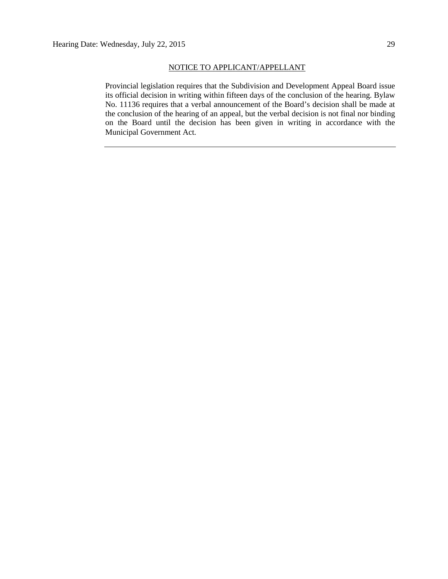### NOTICE TO APPLICANT/APPELLANT

Provincial legislation requires that the Subdivision and Development Appeal Board issue its official decision in writing within fifteen days of the conclusion of the hearing. Bylaw No. 11136 requires that a verbal announcement of the Board's decision shall be made at the conclusion of the hearing of an appeal, but the verbal decision is not final nor binding on the Board until the decision has been given in writing in accordance with the Municipal Government Act.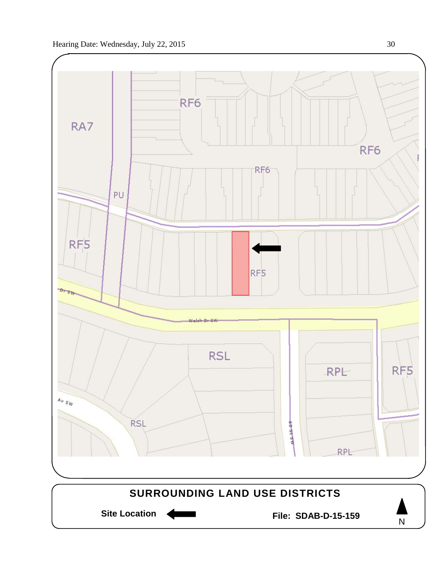